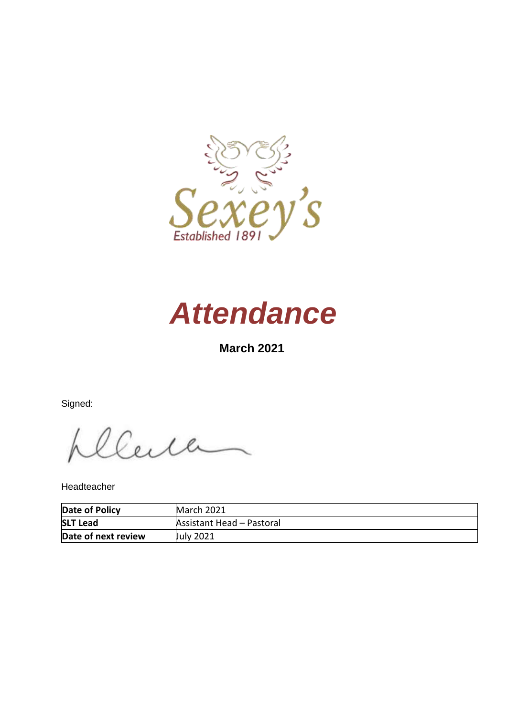



# **March 2021**

Signed:

Center

Headteacher

| Date of Policy      | March 2021                       |
|---------------------|----------------------------------|
| <b>SLT Lead</b>     | <b>Assistant Head - Pastoral</b> |
| Date of next review | July 2021                        |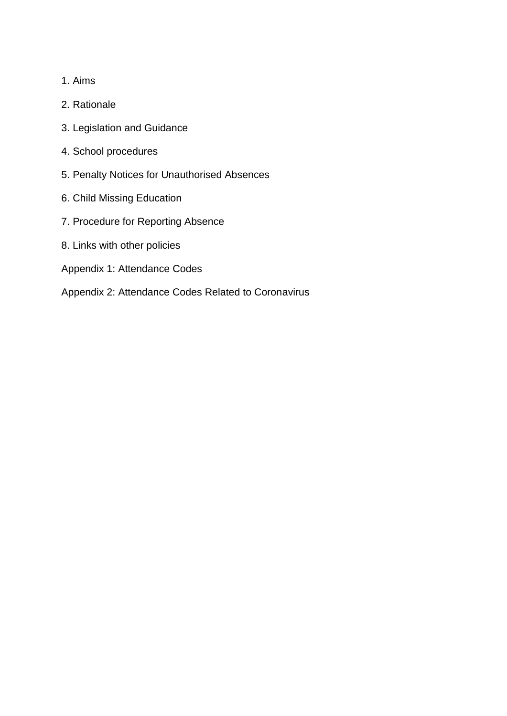- 1. Aims
- 2. Rationale
- 3. Legislation and Guidance
- 4. School procedures
- 5. Penalty Notices for Unauthorised Absences
- 6. Child Missing Education
- 7. Procedure for Reporting Absence
- 8. Links with other policies
- Appendix 1: Attendance Codes
- Appendix 2: Attendance Codes Related to Coronavirus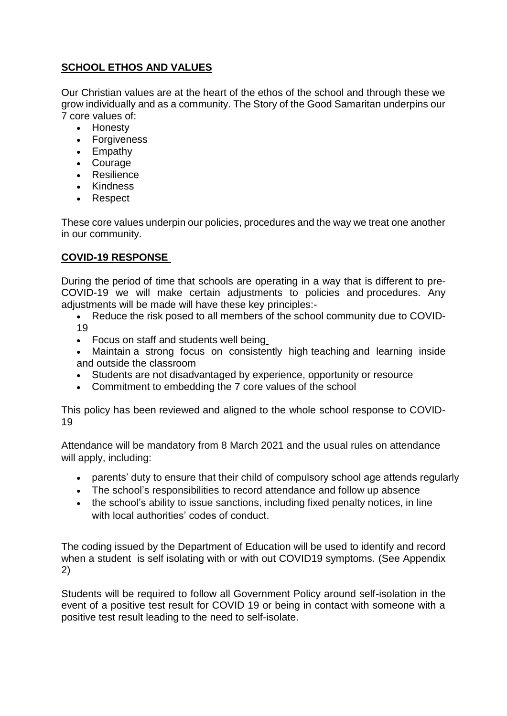### **SCHOOL ETHOS AND VALUES**

Our Christian values are at the heart of the ethos of the school and through these we grow individually and as a community. The Story of the Good Samaritan underpins our 7 core values of:

- Honesty
- Forgiveness
- Empathy
- Courage
- Resilience
- Kindness
- Respect

These core values underpin our policies, procedures and the way we treat one another in our community.

### **COVID-19 RESPONSE**

During the period of time that schools are operating in a way that is different to pre-COVID-19 we will make certain adjustments to policies and procedures. Any adjustments will be made will have these key principles:-

- Reduce the risk posed to all members of the school community due to COVID-19
- Focus on staff and students well being
- Maintain a strong focus on consistently high teaching and learning inside and outside the classroom
- Students are not disadvantaged by experience, opportunity or resource
- Commitment to embedding the 7 core values of the school

This policy has been reviewed and aligned to the whole school response to COVID-19

Attendance will be mandatory from 8 March 2021 and the usual rules on attendance will apply, including:

- parents' duty to ensure that their child of compulsory school age attends regularly
- The school's responsibilities to record attendance and follow up absence
- the school's ability to issue sanctions, including fixed penalty notices, in line with local authorities' codes of conduct.

The coding issued by the Department of Education will be used to identify and record when a student is self isolating with or with out COVID19 symptoms. (See Appendix 2)

Students will be required to follow all Government Policy around self-isolation in the event of a positive test result for COVID 19 or being in contact with someone with a positive test result leading to the need to self-isolate.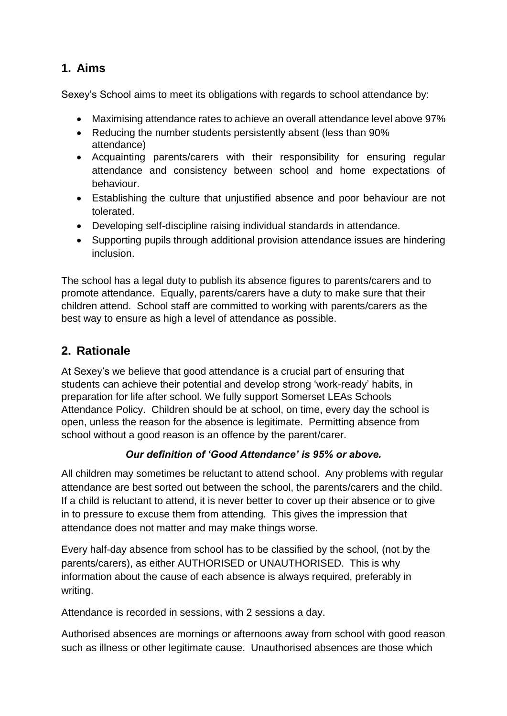# **1. Aims**

Sexey's School aims to meet its obligations with regards to school attendance by:

- Maximising attendance rates to achieve an overall attendance level above 97%
- Reducing the number students persistently absent (less than 90%) attendance)
- Acquainting parents/carers with their responsibility for ensuring regular attendance and consistency between school and home expectations of behaviour.
- Establishing the culture that unjustified absence and poor behaviour are not tolerated.
- Developing self-discipline raising individual standards in attendance.
- Supporting pupils through additional provision attendance issues are hindering inclusion.

The school has a legal duty to publish its absence figures to parents/carers and to promote attendance. Equally, parents/carers have a duty to make sure that their children attend. School staff are committed to working with parents/carers as the best way to ensure as high a level of attendance as possible.

# **2. Rationale**

At Sexey's we believe that good attendance is a crucial part of ensuring that students can achieve their potential and develop strong 'work-ready' habits, in preparation for life after school. We fully support Somerset LEAs Schools Attendance Policy. Children should be at school, on time, every day the school is open, unless the reason for the absence is legitimate. Permitting absence from school without a good reason is an offence by the parent/carer.

# *Our definition of 'Good Attendance' is 95% or above.*

All children may sometimes be reluctant to attend school. Any problems with regular attendance are best sorted out between the school, the parents/carers and the child. If a child is reluctant to attend, it is never better to cover up their absence or to give in to pressure to excuse them from attending. This gives the impression that attendance does not matter and may make things worse.

Every half-day absence from school has to be classified by the school, (not by the parents/carers), as either AUTHORISED or UNAUTHORISED. This is why information about the cause of each absence is always required, preferably in writing.

Attendance is recorded in sessions, with 2 sessions a day.

Authorised absences are mornings or afternoons away from school with good reason such as illness or other legitimate cause. Unauthorised absences are those which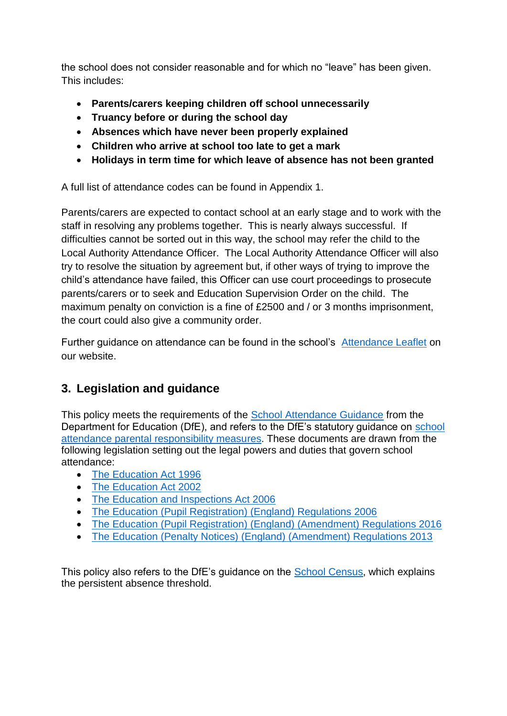the school does not consider reasonable and for which no "leave" has been given. This includes:

- **Parents/carers keeping children off school unnecessarily**
- **Truancy before or during the school day**
- **Absences which have never been properly explained**
- **Children who arrive at school too late to get a mark**
- **Holidays in term time for which leave of absence has not been granted**

A full list of attendance codes can be found in Appendix 1.

Parents/carers are expected to contact school at an early stage and to work with the staff in resolving any problems together. This is nearly always successful. If difficulties cannot be sorted out in this way, the school may refer the child to the Local Authority Attendance Officer. The Local Authority Attendance Officer will also try to resolve the situation by agreement but, if other ways of trying to improve the child's attendance have failed, this Officer can use court proceedings to prosecute parents/carers or to seek and Education Supervision Order on the child. The maximum penalty on conviction is a fine of £2500 and / or 3 months imprisonment, the court could also give a community order.

Further guidance on attendance can be found in the school's [Attendance Leaflet](http://www.sexeys.somerset.sch.uk/wp-content/uploads/2018/01/Sexeys-Attendance-at-School-Guidelines_updated-November-2017.pdf) on our website.

# **3. Legislation and guidance**

This policy meets the requirements of the [School Attendance Guidance](https://www.gov.uk/government/publications/school-attendance) from the Department for Education (DfE), and refers to the DfE's statutory guidance on [school](https://www.gov.uk/government/publications/parental-responsibility-measures-for-behaviour-and-attendance)  [attendance parental responsibility measures.](https://www.gov.uk/government/publications/parental-responsibility-measures-for-behaviour-and-attendance) These documents are drawn from the following legislation setting out the legal powers and duties that govern school attendance:

- [The Education Act 1996](https://www.legislation.gov.uk/ukpga/1996/56/part/VI/chapter/II)
- [The Education Act 2002](http://www.legislation.gov.uk/ukpga/2002/32/part/3/chapter/3)
- [The Education and Inspections Act 2006](http://www.legislation.gov.uk/uksi/2006/1751/contents/made)
- [The Education \(Pupil Registration\) \(England\) Regulations 2006](http://www.legislation.gov.uk/uksi/2006/1751/contents/made)
- [The Education \(Pupil Registration\) \(England\) \(Amendment\) Regulations 2016](http://www.legislation.gov.uk/uksi/2016/792/made/data.html)
- [The Education \(Penalty Notices\) \(England\) \(Amendment\) Regulations 2013](http://www.legislation.gov.uk/uksi/2013/756/pdfs/uksiem_20130756_en.pdf)

This policy also refers to the DfE's guidance on the [School Census,](https://www.gov.uk/government/publications/school-census-2017-to-2018-guide-for-schools-and-las) which explains the persistent absence threshold.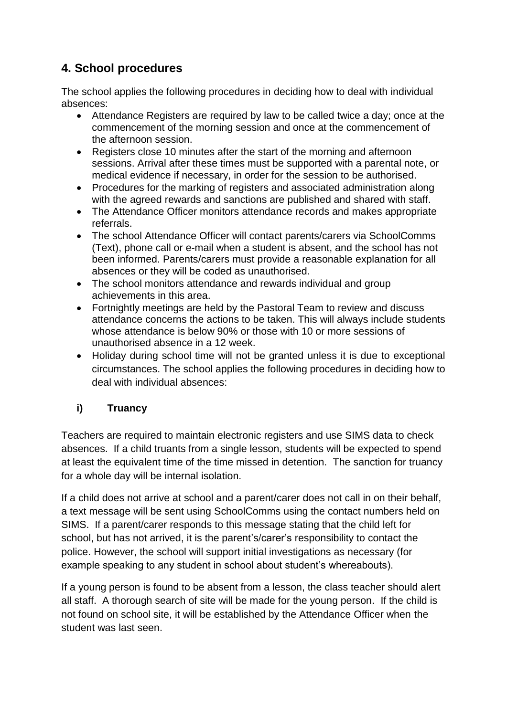# **4. School procedures**

The school applies the following procedures in deciding how to deal with individual absences:

- Attendance Registers are required by law to be called twice a day; once at the commencement of the morning session and once at the commencement of the afternoon session.
- Registers close 10 minutes after the start of the morning and afternoon sessions. Arrival after these times must be supported with a parental note, or medical evidence if necessary, in order for the session to be authorised.
- Procedures for the marking of registers and associated administration along with the agreed rewards and sanctions are published and shared with staff.
- The Attendance Officer monitors attendance records and makes appropriate referrals.
- The school Attendance Officer will contact parents/carers via SchoolComms (Text), phone call or e-mail when a student is absent, and the school has not been informed. Parents/carers must provide a reasonable explanation for all absences or they will be coded as unauthorised.
- The school monitors attendance and rewards individual and group achievements in this area.
- Fortnightly meetings are held by the Pastoral Team to review and discuss attendance concerns the actions to be taken. This will always include students whose attendance is below 90% or those with 10 or more sessions of unauthorised absence in a 12 week.
- Holiday during school time will not be granted unless it is due to exceptional circumstances. The school applies the following procedures in deciding how to deal with individual absences:

# **i) Truancy**

Teachers are required to maintain electronic registers and use SIMS data to check absences. If a child truants from a single lesson, students will be expected to spend at least the equivalent time of the time missed in detention. The sanction for truancy for a whole day will be internal isolation.

If a child does not arrive at school and a parent/carer does not call in on their behalf, a text message will be sent using SchoolComms using the contact numbers held on SIMS. If a parent/carer responds to this message stating that the child left for school, but has not arrived, it is the parent's/carer's responsibility to contact the police. However, the school will support initial investigations as necessary (for example speaking to any student in school about student's whereabouts).

If a young person is found to be absent from a lesson, the class teacher should alert all staff. A thorough search of site will be made for the young person. If the child is not found on school site, it will be established by the Attendance Officer when the student was last seen.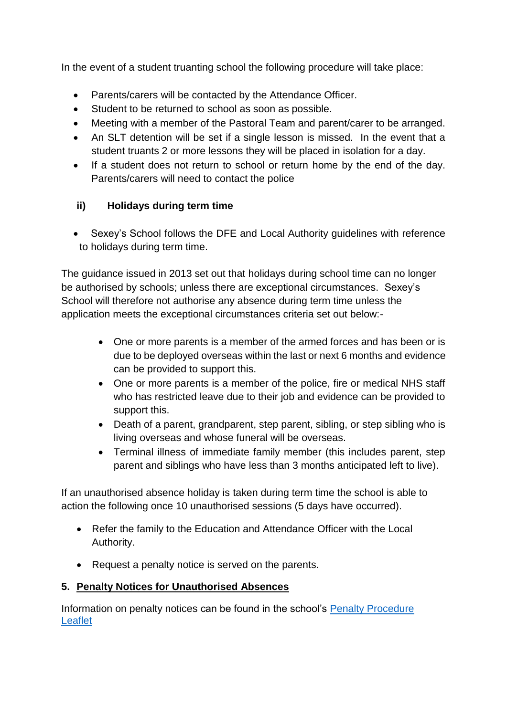In the event of a student truanting school the following procedure will take place:

- Parents/carers will be contacted by the Attendance Officer.
- Student to be returned to school as soon as possible.
- Meeting with a member of the Pastoral Team and parent/carer to be arranged.
- An SLT detention will be set if a single lesson is missed. In the event that a student truants 2 or more lessons they will be placed in isolation for a day.
- If a student does not return to school or return home by the end of the day. Parents/carers will need to contact the police

### **ii) Holidays during term time**

Sexey's School follows the DFE and Local Authority guidelines with reference to holidays during term time.

The guidance issued in 2013 set out that holidays during school time can no longer be authorised by schools; unless there are exceptional circumstances. Sexey's School will therefore not authorise any absence during term time unless the application meets the exceptional circumstances criteria set out below:-

- One or more parents is a member of the armed forces and has been or is due to be deployed overseas within the last or next 6 months and evidence can be provided to support this.
- One or more parents is a member of the police, fire or medical NHS staff who has restricted leave due to their job and evidence can be provided to support this.
- Death of a parent, grandparent, step parent, sibling, or step sibling who is living overseas and whose funeral will be overseas.
- Terminal illness of immediate family member (this includes parent, step parent and siblings who have less than 3 months anticipated left to live).

If an unauthorised absence holiday is taken during term time the school is able to action the following once 10 unauthorised sessions (5 days have occurred).

- Refer the family to the Education and Attendance Officer with the Local Authority.
- Request a penalty notice is served on the parents.

### **5. Penalty Notices for Unauthorised Absences**

Information on penalty notices can be found in the school's [Penalty Procedure](http://www.sexeys.somerset.sch.uk/wp-content/uploads/2018/01/Sexeys-Attendance-Penalty-Notice-Information_updated-Jan-2018.pdf)  [Leaflet](http://www.sexeys.somerset.sch.uk/wp-content/uploads/2018/01/Sexeys-Attendance-Penalty-Notice-Information_updated-Jan-2018.pdf)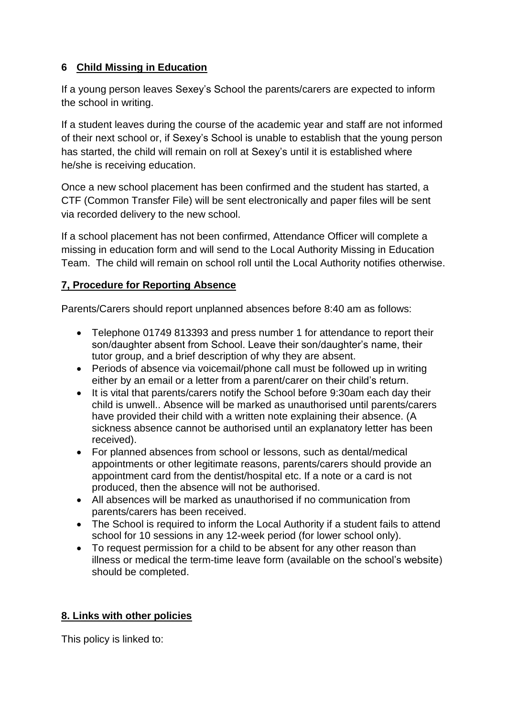# **6 Child Missing in Education**

If a young person leaves Sexey's School the parents/carers are expected to inform the school in writing.

If a student leaves during the course of the academic year and staff are not informed of their next school or, if Sexey's School is unable to establish that the young person has started, the child will remain on roll at Sexey's until it is established where he/she is receiving education.

Once a new school placement has been confirmed and the student has started, a CTF (Common Transfer File) will be sent electronically and paper files will be sent via recorded delivery to the new school.

If a school placement has not been confirmed, Attendance Officer will complete a missing in education form and will send to the Local Authority Missing in Education Team. The child will remain on school roll until the Local Authority notifies otherwise.

# **7, Procedure for Reporting Absence**

Parents/Carers should report unplanned absences before 8:40 am as follows:

- Telephone 01749 813393 and press number 1 for attendance to report their son/daughter absent from School. Leave their son/daughter's name, their tutor group, and a brief description of why they are absent.
- Periods of absence via voicemail/phone call must be followed up in writing either by an email or a letter from a parent/carer on their child's return.
- It is vital that parents/carers notify the School before 9:30am each day their child is unwell.. Absence will be marked as unauthorised until parents/carers have provided their child with a written note explaining their absence. (A sickness absence cannot be authorised until an explanatory letter has been received).
- For planned absences from school or lessons, such as dental/medical appointments or other legitimate reasons, parents/carers should provide an appointment card from the dentist/hospital etc. If a note or a card is not produced, then the absence will not be authorised.
- All absences will be marked as unauthorised if no communication from parents/carers has been received.
- The School is required to inform the Local Authority if a student fails to attend school for 10 sessions in any 12-week period (for lower school only).
- To request permission for a child to be absent for any other reason than illness or medical the term-time leave form (available on the school's website) should be completed.

# **8. Links with other policies**

This policy is linked to: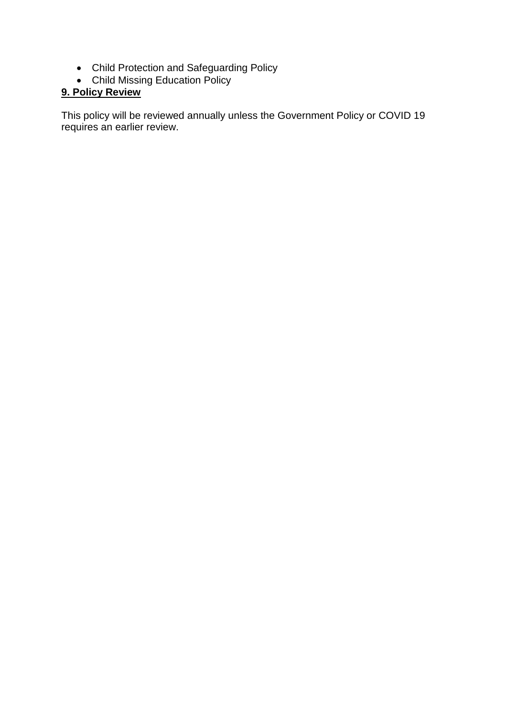- Child Protection and Safeguarding Policy
- Child Missing Education Policy

# **9. Policy Review**

This policy will be reviewed annually unless the Government Policy or COVID 19 requires an earlier review.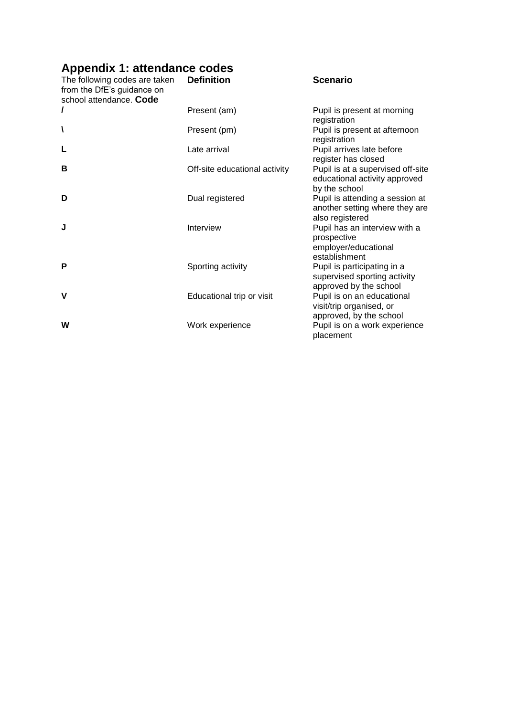# **Appendix 1: attendance codes**

| The following codes are taken<br>from the DfE's guidance on<br>school attendance. Code | <b>Definition</b>             | <b>Scenario</b>                                                                       |
|----------------------------------------------------------------------------------------|-------------------------------|---------------------------------------------------------------------------------------|
| I                                                                                      | Present (am)                  | Pupil is present at morning<br>registration                                           |
| ١                                                                                      | Present (pm)                  | Pupil is present at afternoon<br>registration                                         |
| L                                                                                      | Late arrival                  | Pupil arrives late before<br>register has closed                                      |
| В                                                                                      | Off-site educational activity | Pupil is at a supervised off-site<br>educational activity approved<br>by the school   |
| D                                                                                      | Dual registered               | Pupil is attending a session at<br>another setting where they are<br>also registered  |
| J                                                                                      | Interview                     | Pupil has an interview with a<br>prospective<br>employer/educational<br>establishment |
| P                                                                                      | Sporting activity             | Pupil is participating in a<br>supervised sporting activity<br>approved by the school |
| V                                                                                      | Educational trip or visit     | Pupil is on an educational<br>visit/trip organised, or<br>approved, by the school     |
| W                                                                                      | Work experience               | Pupil is on a work experience<br>placement                                            |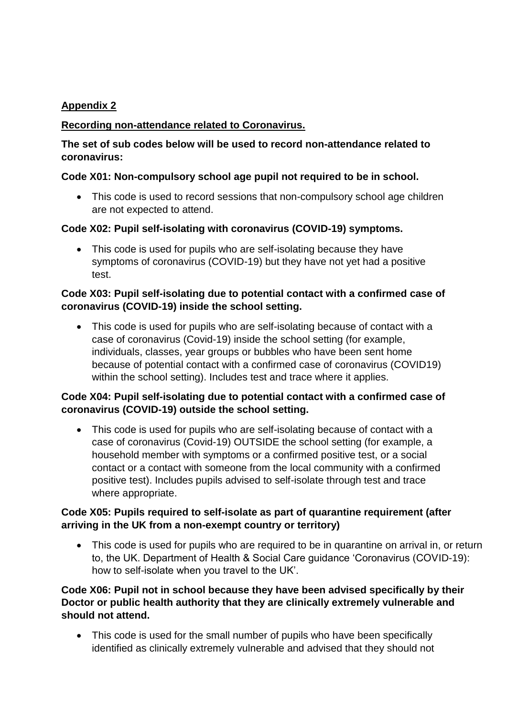# **Appendix 2**

### **Recording non-attendance related to Coronavirus.**

### **The set of sub codes below will be used to record non-attendance related to coronavirus:**

### **Code X01: Non-compulsory school age pupil not required to be in school.**

• This code is used to record sessions that non-compulsory school age children are not expected to attend.

### **Code X02: Pupil self-isolating with coronavirus (COVID-19) symptoms.**

• This code is used for pupils who are self-isolating because they have symptoms of coronavirus (COVID-19) but they have not yet had a positive test.

### **Code X03: Pupil self-isolating due to potential contact with a confirmed case of coronavirus (COVID-19) inside the school setting.**

 This code is used for pupils who are self-isolating because of contact with a case of coronavirus (Covid-19) inside the school setting (for example, individuals, classes, year groups or bubbles who have been sent home because of potential contact with a confirmed case of coronavirus (COVID19) within the school setting). Includes test and trace where it applies.

### **Code X04: Pupil self-isolating due to potential contact with a confirmed case of coronavirus (COVID-19) outside the school setting.**

 This code is used for pupils who are self-isolating because of contact with a case of coronavirus (Covid-19) OUTSIDE the school setting (for example, a household member with symptoms or a confirmed positive test, or a social contact or a contact with someone from the local community with a confirmed positive test). Includes pupils advised to self-isolate through test and trace where appropriate.

### **Code X05: Pupils required to self-isolate as part of quarantine requirement (after arriving in the UK from a non-exempt country or territory)**

• This code is used for pupils who are required to be in quarantine on arrival in, or return to, the UK. Department of Health & Social Care guidance 'Coronavirus (COVID-19): how to self-isolate when you travel to the UK'.

### **Code X06: Pupil not in school because they have been advised specifically by their Doctor or public health authority that they are clinically extremely vulnerable and should not attend.**

• This code is used for the small number of pupils who have been specifically identified as clinically extremely vulnerable and advised that they should not